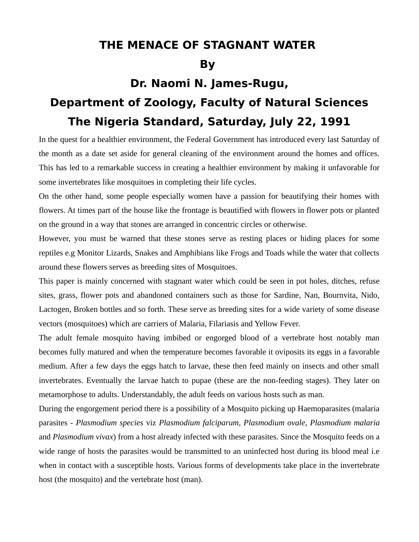## **THE MENACE OF STAGNANT WATER**

## **By**

## **Dr. Naomi N. James-Rugu, Department of Zoology, Faculty of Natural Sciences The Nigeria Standard, Saturday, July 22, 1991**

In the quest for a healthier environment, the Federal Government has introduced every last Saturday of the month as a date set aside for general cleaning of the environment around the homes and offices. This has led to a remarkable success in creating a healthier environment by making it unfavorable for some invertebrates like mosquitoes in completing their life cycles.

On the other hand, some people especially women have a passion for beautifying their homes with flowers. At times part of the house like the frontage is beautified with flowers in flower pots or planted on the ground in a way that stones are arranged in concentric circles or otherwise.

However, you must be warned that these stones serve as resting places or hiding places for some reptiles e.g Monitor Lizards, Snakes and Amphibians like Frogs and Toads while the water that collects around these flowers serves as breeding sites of Mosquitoes.

This paper is mainly concerned with stagnant water which could be seen in pot holes, ditches, refuse sites, grass, flower pots and abandoned containers such as those for Sardine, Nan, Bournvita, Nido, Lactogen, Broken bottles and so forth. These serve as breeding sites for a wide variety of some disease vectors (mosquitoes) which are carriers of Malaria, Filariasis and Yellow Fever.

The adult female mosquito having imbibed or engorged blood of a vertebrate host notably man becomes fully matured and when the temperature becomes favorable it oviposits its eggs in a favorable medium. After a few days the eggs hatch to larvae, these then feed mainly on insects and other small invertebrates. Eventually the larvae hatch to pupae (these are the non-feeding stages). They later on metamorphose to adults. Understandably, the adult feeds on various hosts such as man.

During the engorgement period there is a possibility of a Mosquito picking up Haemoparasites (malaria parasites - *Plasmodium species* viz *Plasmodium falciparum*, *Plasmodium ovale*, *Plasmodium malaria* and *Plasmodium vivax*) from a host already infected with these parasites. Since the Mosquito feeds on a wide range of hosts the parasites would be transmitted to an uninfected host during its blood meal i.e when in contact with a susceptible hosts. Various forms of developments take place in the invertebrate host (the mosquito) and the vertebrate host (man).